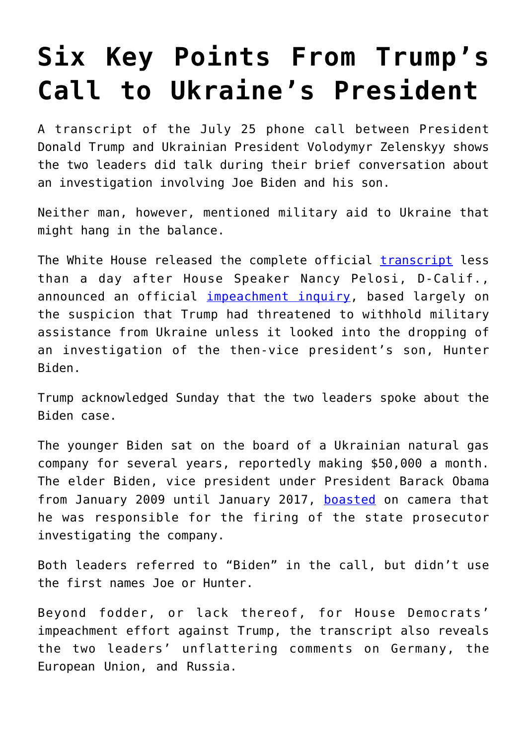# **[Six Key Points From Trump's](https://intellectualtakeout.org/2019/09/six-key-points-from-trumps-call-to-ukraines-president/) [Call to Ukraine's President](https://intellectualtakeout.org/2019/09/six-key-points-from-trumps-call-to-ukraines-president/)**

A transcript of the July 25 phone call between President Donald Trump and Ukrainian President Volodymyr Zelenskyy shows the two leaders did talk during their brief conversation about an investigation involving Joe Biden and his son.

Neither man, however, mentioned military aid to Ukraine that might hang in the balance.

The White House released the complete official [transcript](https://www.whitehouse.gov/wp-content/uploads/2019/09/Unclassified09.2019.pdf) less than a day after House Speaker Nancy Pelosi, D-Calif., announced an official [impeachment inquiry](https://www.dailysignal.com/2019/09/24/bowing-to-party-pressure-pelosi-calls-for-official-impeachment-inquiry-of-trump/), based largely on the suspicion that Trump had threatened to withhold military assistance from Ukraine unless it looked into the dropping of an investigation of the then-vice president's son, Hunter Biden.

Trump acknowledged Sunday that the two leaders spoke about the Biden case.

The younger Biden sat on the board of a Ukrainian natural gas company for several years, reportedly making \$50,000 a month. The elder Biden, vice president under President Barack Obama from January 2009 until January 2017, [boasted](https://www.cfr.org/event/foreign-affairs-issue-launch-former-vice-president-joe-biden) on camera that he was responsible for the firing of the state prosecutor investigating the company.

Both leaders referred to "Biden" in the call, but didn't use the first names Joe or Hunter.

Beyond fodder, or lack thereof, for House Democrats' impeachment effort against Trump, the transcript also reveals the two leaders' unflattering comments on Germany, the European Union, and Russia.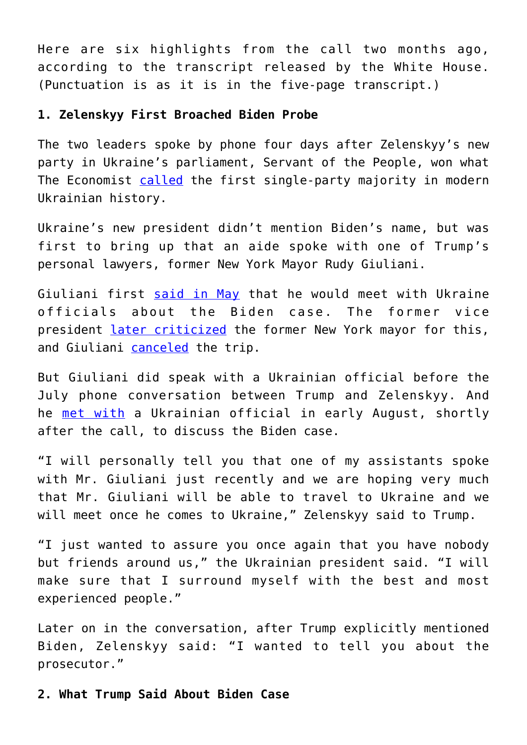Here are six highlights from the call two months ago, according to the transcript released by the White House. (Punctuation is as it is in the five-page transcript.)

#### **1. Zelenskyy First Broached Biden Probe**

The two leaders spoke by phone four days after Zelenskyy's new party in Ukraine's parliament, Servant of the People, won what The Economist [called](https://www.economist.com/europe/2019/07/25/volodymyr-zelensky-clears-the-old-elite-out-of-parliament) the first single-party majority in modern Ukrainian history.

Ukraine's new president didn't mention Biden's name, but was first to bring up that an aide spoke with one of Trump's personal lawyers, former New York Mayor Rudy Giuliani.

Giuliani first [said in May](https://www.foxnews.com/politics/giuliani-will-travel-to-ukraine-saying-countrys-probes-may-be-very-very-helpful-for-trump) that he would meet with Ukraine officials about the Biden case. The former vice president [later criticized](https://www.foxnews.com/politics/biden-giuliani-ukraine-trip-inappropriate) the former New York mayor for this, and Giuliani [canceled](https://www.foxnews.com/politics/giuliani-i-am-not-going-to-ukraine-because-id-be-walking-into-a-group-of-people-that-are-enemies-of-the-us) the trip.

But Giuliani did speak with a Ukrainian official before the July phone conversation between Trump and Zelenskyy. And he [met with](https://thehill.com/opinion/white-house/462422-missing-piece-to-the-ukraine-puzzle-state-departments-overture-to-rudy) a Ukrainian official in early August, shortly after the call, to discuss the Biden case.

"I will personally tell you that one of my assistants spoke with Mr. Giuliani just recently and we are hoping very much that Mr. Giuliani will be able to travel to Ukraine and we will meet once he comes to Ukraine," Zelenskyy said to Trump.

"I just wanted to assure you once again that you have nobody but friends around us," the Ukrainian president said. "I will make sure that I surround myself with the best and most experienced people."

Later on in the conversation, after Trump explicitly mentioned Biden, Zelenskyy said: "I wanted to tell you about the prosecutor."

## **2. What Trump Said About Biden Case**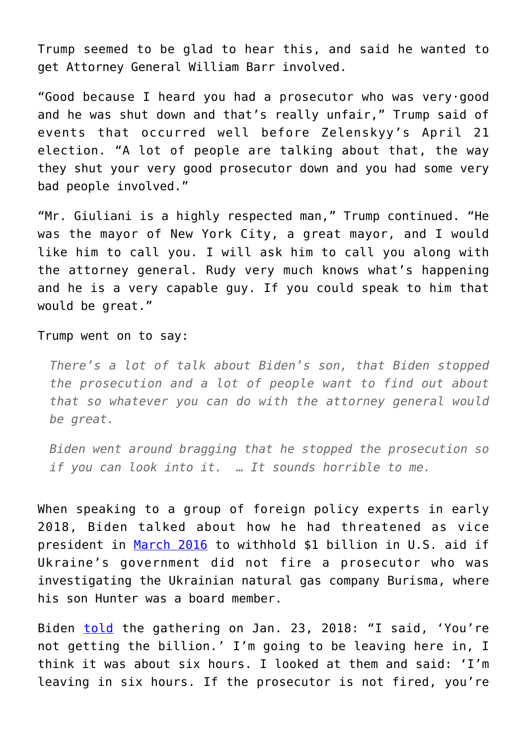Trump seemed to be glad to hear this, and said he wanted to get Attorney General William Barr involved.

"Good because I heard you had a prosecutor who was very·good and he was shut down and that's really unfair," Trump said of events that occurred well before Zelenskyy's April 21 election. "A lot of people are talking about that, the way they shut your very good prosecutor down and you had some very bad people involved."

"Mr. Giuliani is a highly respected man," Trump continued. "He was the mayor of New York City, a great mayor, and I would like him to call you. I will ask him to call you along with the attorney general. Rudy very much knows what's happening and he is a very capable guy. If you could speak to him that would be great."

Trump went on to say:

*There's a lot of talk about Biden's son, that Biden stopped the prosecution and a lot of people want to find out about that so whatever you can do with the attorney general would be great.* 

*Biden went around bragging that he stopped the prosecution so if you can look into it. … It sounds horrible to me.*

When speaking to a group of foreign policy experts in early 2018, Biden talked about how he had threatened as vice president in [March 2016](https://www.foxnews.com/opinion/deroy-murdock-on-impeachment-of-trump) to withhold \$1 billion in U.S. aid if Ukraine's government did not fire a prosecutor who was investigating the Ukrainian natural gas company Burisma, where his son Hunter was a board member.

Biden [told](https://www.cfr.org/event/foreign-affairs-issue-launch-former-vice-president-joe-biden) the gathering on Jan. 23, 2018: "I said, 'You're not getting the billion.' I'm going to be leaving here in, I think it was about six hours. I looked at them and said: 'I'm leaving in six hours. If the prosecutor is not fired, you're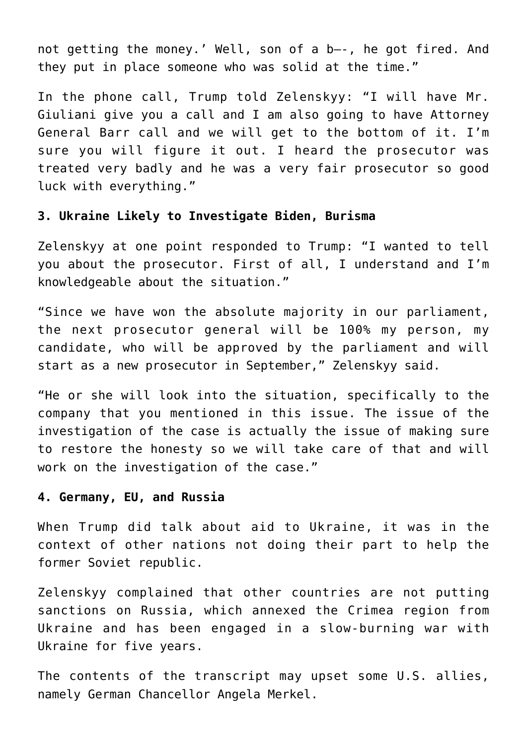not getting the money.' Well, son of a b—-, he got fired. And they put in place someone who was solid at the time."

In the phone call, Trump told Zelenskyy: "I will have Mr. Giuliani give you a call and I am also going to have Attorney General Barr call and we will get to the bottom of it. I'm sure you will figure it out. I heard the prosecutor was treated very badly and he was a very fair prosecutor so good luck with everything."

#### **3. Ukraine Likely to Investigate Biden, Burisma**

Zelenskyy at one point responded to Trump: "I wanted to tell you about the prosecutor. First of all, I understand and I'm knowledgeable about the situation."

"Since we have won the absolute majority in our parliament, the next prosecutor general will be 100% my person, my candidate, who will be approved by the parliament and will start as a new prosecutor in September," Zelenskyy said.

"He or she will look into the situation, specifically to the company that you mentioned in this issue. The issue of the investigation of the case is actually the issue of making sure to restore the honesty so we will take care of that and will work on the investigation of the case."

#### **4. Germany, EU, and Russia**

When Trump did talk about aid to Ukraine, it was in the context of other nations not doing their part to help the former Soviet republic.

Zelenskyy complained that other countries are not putting sanctions on Russia, which annexed the Crimea region from Ukraine and has been engaged in a slow-burning war with Ukraine for five years.

The contents of the transcript may upset some U.S. allies, namely German Chancellor Angela Merkel.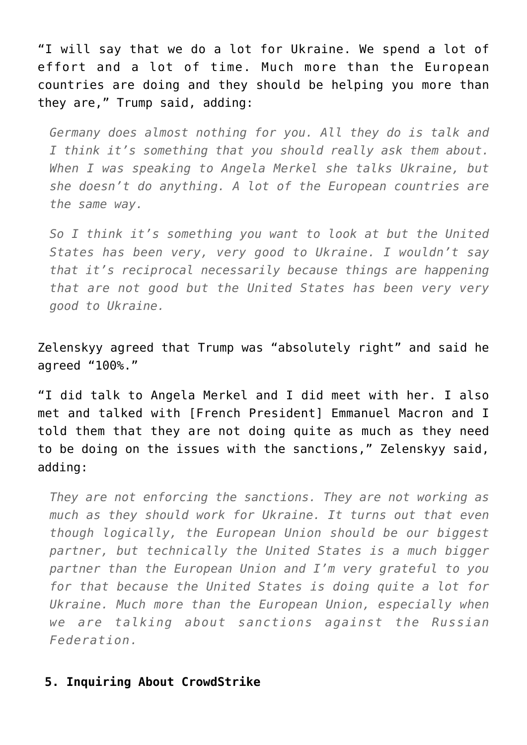"I will say that we do a lot for Ukraine. We spend a lot of effort and a lot of time. Much more than the European countries are doing and they should be helping you more than they are," Trump said, adding:

*Germany does almost nothing for you. All they do is talk and I think it's something that you should really ask them about. When I was speaking to Angela Merkel she talks Ukraine, but she doesn't do anything. A lot of the European countries are the same way.* 

*So I think it's something you want to look at but the United States has been very, very good to Ukraine. I wouldn't say that it's reciprocal necessarily because things are happening that are not good but the United States has been very very good to Ukraine.*

Zelenskyy agreed that Trump was "absolutely right" and said he agreed "100%."

"I did talk to Angela Merkel and I did meet with her. I also met and talked with [French President] Emmanuel Macron and I told them that they are not doing quite as much as they need to be doing on the issues with the sanctions," Zelenskyy said, adding:

*They are not enforcing the sanctions. They are not working as much as they should work for Ukraine. It turns out that even though logically, the European Union should be our biggest partner, but technically the United States is a much bigger partner than the European Union and I'm very grateful to you for that because the United States is doing quite a lot for Ukraine. Much more than the European Union, especially when we are talking about sanctions against the Russian Federation.*

### **5. Inquiring About CrowdStrike**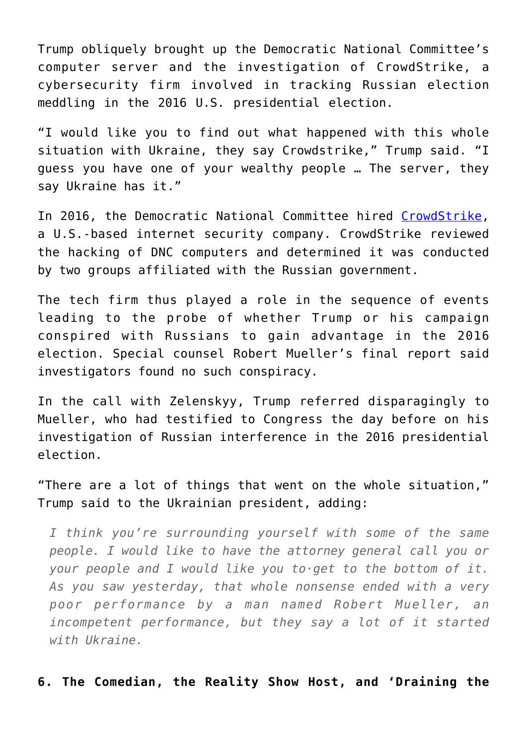Trump obliquely brought up the Democratic National Committee's computer server and the investigation of CrowdStrike, a cybersecurity firm involved in tracking Russian election meddling in the 2016 U.S. presidential election.

"I would like you to find out what happened with this whole situation with Ukraine, they say Crowdstrike," Trump said. "I guess you have one of your wealthy people … The server, they say Ukraine has it."

In 2016, the Democratic National Committee hired [CrowdStrike,](https://www.crowdstrike.com/) a U.S.-based internet security company. CrowdStrike reviewed the hacking of DNC computers and determined it was conducted by two groups affiliated with the Russian government.

The tech firm thus played a role in the sequence of events leading to the probe of whether Trump or his campaign conspired with Russians to gain advantage in the 2016 election. Special counsel Robert Mueller's final report said investigators found no such conspiracy.

In the call with Zelenskyy, Trump referred disparagingly to Mueller, who had testified to Congress the day before on his investigation of Russian interference in the 2016 presidential election.

"There are a lot of things that went on the whole situation," Trump said to the Ukrainian president, adding:

*I think you're surrounding yourself with some of the same people. I would like to have the attorney general call you or your people and I would like you to·get to the bottom of it. As you saw yesterday, that whole nonsense ended with a very poor performance by a man named Robert Mueller, an incompetent performance, but they say a lot of it started with Ukraine.*

**6. The Comedian, the Reality Show Host, and 'Draining the**